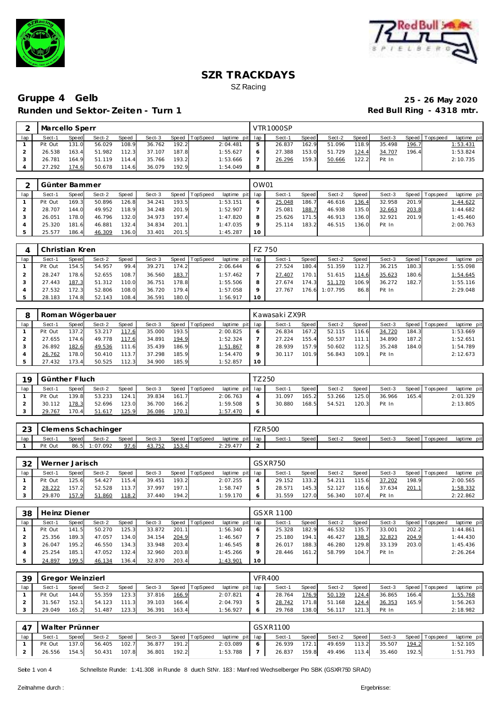



# Gruppe 4 Gelb 25 - 26 May 2020<br>Runden und Sektor-Zeiten - Turn 1 Red Bull Ring - 4318 mtr. **Runden und Sektor-Zeiten - Turn 1**

|     | Marcello Sperr |       |        |       |        |       |                |             |     | <b>VTR1000SP</b> |              |        |       |        |       |                 |             |
|-----|----------------|-------|--------|-------|--------|-------|----------------|-------------|-----|------------------|--------------|--------|-------|--------|-------|-----------------|-------------|
| lap | Sect-1         | Speed | Sect-2 | Speed | Sect-3 |       | Speed TopSpeed | laptime pit | lap | Sect-1           | <b>Speed</b> | Sect-2 | Speed | Sect-3 |       | Speed Tops peed | laptime pit |
|     | Pit Out        | 131.0 | 56.029 | 108.9 | 36.762 | 192.2 |                | 2:04.481    | ь   | 26.837           | 162.9        | 51.096 | 118.9 | 35.498 | 196.7 |                 | 1:53.431    |
|     | 26.538         | 163.4 | 51.982 | 112.3 | 37.107 | 187.8 |                | 1:55.627    | 6   | 27.388           | 153.0        | 51.729 | 124.4 | 34.707 | 196.4 |                 | 1:53.824    |
|     | 26.781         | 164.9 | 51.119 | 114.4 | 35.766 | 193.2 |                | 1:53.666    |     | 26.296           | 159.3        | 50.666 | 122.2 | Pit In |       |                 | 2:10.735    |
|     | 27.292         | 74.6  | 50.678 | 114.6 | 36.079 | 192.9 |                | 1:54.049    | 8   |                  |              |        |       |        |       |                 |             |

|     | Günter Bammer |       |        |       |        |       |                |                 | OW01 |        |       |        |       |        |       |                |             |
|-----|---------------|-------|--------|-------|--------|-------|----------------|-----------------|------|--------|-------|--------|-------|--------|-------|----------------|-------------|
| lap | Sect-1        | Speed | Sect-2 | Speed | Sect-3 |       | Speed TopSpeed | laptime pit lap |      | Sect-1 | Speed | Sect-2 | Speed | Sect-3 |       | Speed Topspeed | laptime pit |
|     | Pit Out       | 169.3 | 50.896 | 126.8 | 34.241 | 193.5 |                | 1:53.151        |      | 25.048 | 186.7 | 46.616 | 136.4 | 32.958 | 201.9 |                | 1:44.622    |
|     | 28.707        | 144.0 | 49.952 | 118.9 | 34.248 | 201.9 |                | 1:52.907        |      | 25.081 | 188.7 | 46.938 | 135.0 | 32.663 | 203.8 |                | 1:44.682    |
|     | 26.051        | 178.0 | 46.796 | 132.0 | 34.973 | 197.4 |                | 1:47.820        |      | 25.626 | 171.5 | 46.913 | 136.0 | 32.921 | 201.9 |                | 1:45.460    |
|     | 25.320        | 181.6 | 46.881 | 132.4 | 34.834 | 201.1 |                | 1:47.035        |      | 25.114 | 183.2 | 46.515 | 136.0 | Pit In |       |                | 2:00.763    |
|     | 25.577        | 186.4 | 46.309 | 136.0 | 33.401 | 201.5 |                | 1:45.287        | 10   |        |       |        |       |        |       |                |             |

|     | Christian Kren |       |        |       |        |       |                |                 | FZ 750  |        |                    |          |       |        |       |                 |             |
|-----|----------------|-------|--------|-------|--------|-------|----------------|-----------------|---------|--------|--------------------|----------|-------|--------|-------|-----------------|-------------|
| lap | Sect-1         | Speed | Sect-2 | Speed | Sect-3 |       | Speed TopSpeed | laptime pit lap |         | Sect-1 | Speed              | Sect-2   | Speed | Sect-3 |       | Speed Tops peed | laptime pit |
|     | Pit Out        | 154.5 | 54.957 | 99.4  | 39.271 | 174.2 |                | 2:06.644        |         | 27.524 | 180.4              | 51.359   | 112.7 | 36.215 | 180.3 |                 | 1:55.098    |
|     | 28.247         | '78.6 | 52.655 | 108.7 | 36.560 | 183.7 |                | 1:57.462        |         | 27.407 | 170.1 <sub>1</sub> | 51.615   | 114.6 | 35.623 | 180.6 |                 | 1:54.645    |
|     | 27.443         | 187.3 | 51.312 | 110.0 | 36.751 | 178.8 |                | 1:55.506        | 8       | 27.674 | 174.3              | 51.170   | 106.9 | 36.272 | 182.7 |                 | 1:55.116    |
|     | 27.532         | 172.3 | 52.806 | 108.0 | 36.720 | 179.4 |                | 1:57.058        | $\circ$ | 27.767 | 176.6              | 1:07.795 | 86.8  | Pit In |       |                 | 2:29.048    |
|     | 28.183         | 174.8 | 52.143 | 108.4 | 36.591 | 180.0 |                | 1:56.917        | 10      |        |                    |          |       |        |       |                 |             |

|     |         |       | Roman Wögerbauer |       |        |       |                  |             |         | Kawasaki ZX9R |       |        |       |        |       |                |             |
|-----|---------|-------|------------------|-------|--------|-------|------------------|-------------|---------|---------------|-------|--------|-------|--------|-------|----------------|-------------|
| lap | Sect-1  | Speed | Sect-2           | Speed | Sect-3 |       | Speed   TopSpeed | laptime pit | lap     | Sect-1        | Speed | Sect-2 | Speed | Sect-3 |       | Speed Topspeed | laptime pit |
|     | Pit Out | 137.2 | 53.217           | 117.6 | 35.000 | 193.5 |                  | 2:00.825    | 6       | 26.834        | 167.2 | 52.115 | 116.6 | 34.720 | 184.3 |                | 1:53.669    |
|     | 27.655  | 1746  | 49.778           | 117.6 | 34.891 | 194.9 |                  | 1:52.324    |         | 27.224        | 155.4 | 50.537 | 111.1 | 34.890 | 187.2 |                | 1:52.651    |
|     | 26.892  | 182.6 | 49.536           | 111.6 | 35.439 | 186.9 |                  | 1:51.867    | 8       | 28.939        | 157.9 | 50.602 | 112.5 | 35.248 | 184.0 |                | 1:54.789    |
|     | 26.762  | 178.0 | 50.410           | 113.7 | 37.298 | 185.9 |                  | 1:54.470    | $\circ$ | 30.117        | 101.9 | 56.843 | 109.1 | Pit In |       |                | 2:12.673    |
|     | 27.432  | 73.4  | 50.525           | 112.3 | 34.900 | 185.9 |                  | 1:52.857    | 10      |               |       |        |       |        |       |                |             |

| 19  |         | Günther Fluch<br>Speed TopSpeed<br><b>Speed</b><br>Sect-2<br>Speed<br>Sect-3<br>Sect-1 |        |       |        |       |  |                 |  | TZ 250 |       |        |       |        |       |                |             |
|-----|---------|----------------------------------------------------------------------------------------|--------|-------|--------|-------|--|-----------------|--|--------|-------|--------|-------|--------|-------|----------------|-------------|
| lap |         |                                                                                        |        |       |        |       |  | laptime pit lap |  | Sect-1 | Speed | Sect-2 | Speed | Sect-3 |       | Speed Topspeed | laptime pit |
|     | Pit Out | 139.8                                                                                  | 53.233 | 124.1 | 39.834 | 161.7 |  | 2:06.763        |  | 31.097 | 165.2 | 53.266 | 125.0 | 36.966 | 165.4 |                | 2:01.329    |
|     | 30.112  | 178.3                                                                                  | 52.696 | 123.0 | 36.700 | 166.2 |  | 1:59.508        |  | 30.880 | 168.5 | 54.521 | 120.3 | Pit In |       |                | 2:13.805    |
|     | 29.767  | 170.4                                                                                  | 51.617 | 125.9 | 36.086 | 170.1 |  | 1:57.470        |  |        |       |        |       |        |       |                |             |

| ົດລ<br>-20 |         |       | Clemens Schachinger |              |        |       |                |                 | <b>FZR500</b> |        |       |        |         |        |                 |             |
|------------|---------|-------|---------------------|--------------|--------|-------|----------------|-----------------|---------------|--------|-------|--------|---------|--------|-----------------|-------------|
| lap        | Sect-1  | Speed | Sect-2              | <b>Speed</b> | Sect-3 |       | Speed TopSpeed | laptime pit lap |               | Sect-1 | Speed | Sect-2 | Speed I | Sect-3 | Speed Tops peed | laptime pit |
|            | Pit Out |       | 86.5 1:07.092       | 97.6         | 43.752 | 153.4 |                | 2: 29.477       |               |        |       |        |         |        |                 |             |

| 32  | Werner Jarisch |              |        |       |        |       |                |                 |   | GS X R 750 |       |        |       |        |       |                 |             |
|-----|----------------|--------------|--------|-------|--------|-------|----------------|-----------------|---|------------|-------|--------|-------|--------|-------|-----------------|-------------|
| lap | Sect-1         | <b>Speed</b> | Sect-2 | Speed | Sect-3 |       | Speed TopSpeed | laptime pit lap |   | Sect-1     | Speed | Sect-2 | Speed | Sect-3 |       | Speed Tops peed | laptime pit |
|     | Pit Out        | 125.6        | 54.427 | 115.4 | 39.451 | 193.2 |                | 2:07.255        |   | 29.152     | 133.2 | 54.211 | 115.6 | 37.202 | 198.9 |                 | 2:00.565    |
|     | 28.222         | 157.2        | 52.528 | 113.7 | 37.997 | 197.1 |                | 1:58.747        |   | 28.571     | 145.3 | 52.127 | 116.6 | 37.634 | 201.1 |                 | 1:58.332    |
|     | 29.870         | 157.9        | 51.860 | 118.2 | 37.440 | 194.2 |                | 1:59.170        | 6 | 31.559     | 127.0 | 56.340 | 107.4 | Pit In |       |                 | 2:22.862    |

| 38  | Heinz Diener |       |        |       |        |       |                |                 |    | <b>GSXR 1100</b> |       |        |       |        |       |                 |             |
|-----|--------------|-------|--------|-------|--------|-------|----------------|-----------------|----|------------------|-------|--------|-------|--------|-------|-----------------|-------------|
| lap | Sect-1       | Speed | Sect-2 | Speed | Sect-3 |       | Speed TopSpeed | laptime pit lap |    | Sect-1           | Speed | Sect-2 | Speed | Sect-3 |       | Speed Tops peed | laptime pit |
|     | Pit Out      | 141.5 | 50.270 | 125.3 | 33.872 | 201.1 |                | 1:56.340        |    | 25.328           | 182.9 | 46.532 | 135.7 | 33.001 | 202.2 |                 | 1:44.861    |
|     | 25.356       | 189.3 | 47.057 | 134.0 | 34.154 | 204.9 |                | 1:46.567        |    | 25.180           | 194.1 | 46.427 | 138.5 | 32.823 | 204.9 |                 | 1:44.430    |
|     | 26.047       | 195.2 | 46.550 | 134.3 | 33.948 | 203.4 |                | 1:46.545        |    | 26.017           | 188.3 | 46.280 | 129.8 | 33.139 | 203.0 |                 | 1:45.436    |
|     | 25.254       | 185.1 | 47.052 | 132.4 | 32.960 | 203.8 |                | 1:45.266        |    | 28.446           | 161.2 | 58.799 | 104.7 | Pit In |       |                 | 2:26.264    |
|     | 24.897       | 199.5 | 46.134 | 136.4 | 32.870 | 203.4 |                | 1:43.901        | 10 |                  |       |        |       |        |       |                 |             |

| 39  |         | Gregor Weinzierl |        |              |        |       |                |                 | <b>VFR400</b> |       |        |       |        |       |                 |                 |
|-----|---------|------------------|--------|--------------|--------|-------|----------------|-----------------|---------------|-------|--------|-------|--------|-------|-----------------|-----------------|
| lap | Sect-1  | <b>Speed</b>     | Sect-2 | <b>Speed</b> | Sect-3 |       | Speed TopSpeed | laptime pit lap | Sect-1        | Speed | Sect-2 | Speed | Sect-3 |       | Speed Tops peed | laptime pit     |
|     | Pit Out | 144.0            | 55.359 | 123.3        | 37.816 | 166.9 |                | 2:07.821        | 28.764        | 176.9 | 50.139 | 124.4 | 36.865 | 166.4 |                 | <u>1:55.768</u> |
|     | 31.567  | 152.1            | 54.123 | 111.3        | 39.103 | 166.4 |                | 2:04.793        | 28.742        | 171.8 | 51.168 | 124.4 | 36.353 | 165.9 |                 | 1:56.263        |
|     | 29.049  | 165.2            | 51.487 | 123.3        | 36.391 | 163.4 |                | 1:56.927        | 29.768        | 138.0 | 56.117 | 121   | Pit In |       |                 | 2:18.982        |

| 47  |         | Walter Prünner<br>Speed TopSpeed<br>Speed<br>Sect-3<br>Sect-2<br>Speed<br>Sect-1 |        |       |        |       |  |                 |   | GSXR1100 |       |        |       |        |       |                   |             |
|-----|---------|----------------------------------------------------------------------------------|--------|-------|--------|-------|--|-----------------|---|----------|-------|--------|-------|--------|-------|-------------------|-------------|
| lap |         |                                                                                  |        |       |        |       |  | laptime pit lap |   | Sect-1   | Speed | Sect-2 | Speed | Sect-3 |       | Speed   Tops peed | laptime pit |
|     | Pit Out | 137.0                                                                            | 56.405 | 102.7 | 36.877 | 191.2 |  | 2:03.089        | 6 | 26.939   | 172.1 | 49.659 | 113.2 | 35.507 | 194.2 |                   | 1:52.105    |
|     | 26.556  | 154.5                                                                            | 50.431 | 107.8 | 36.801 | 192.2 |  | 1:53.788        |   | 26.837   | 159.8 | 49.496 | 113.4 | 35.460 | 192.5 |                   | 1:51.793    |

Seite 1 von 4 Schnellste Runde: 1:41.308 in Runde 8 durch StNr. 183: Manf red Wechselberger Pro SBK (GSXR750 SRAD)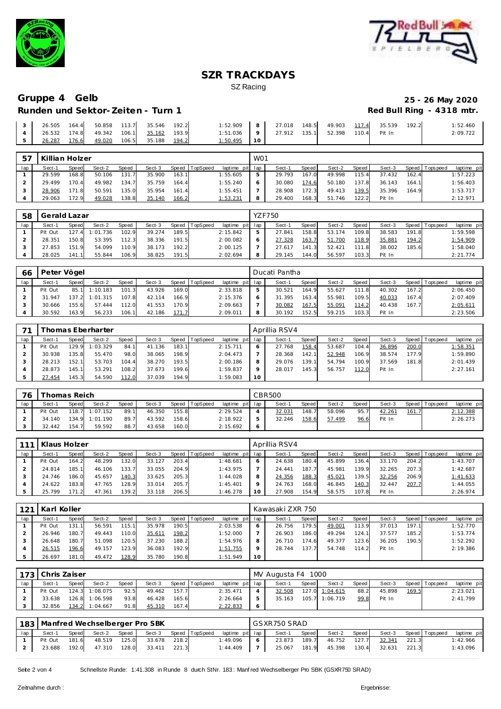



# Gruppe 4 Gelb<br>
Runden und Sektor-Zeiten - Turn 1 **25 - 26 May 2020**<br>
Red Bull Ring - 4318 mtr. **Runden und Sektor-Zeiten - Turn 1**

|  |  |  |                                                          | $\begin{vmatrix} 3 & 26.505 & 164.4 \end{vmatrix}$ 50.858 113.7 35.546 192.2 1:52.909 8 27.018 148.5 49.903 117.4 35.539 192.2 |  |  |  | 1:52.460 |
|--|--|--|----------------------------------------------------------|--------------------------------------------------------------------------------------------------------------------------------|--|--|--|----------|
|  |  |  | $\vert$ 4 $\vert$ 26.532 174.8 49.342 106.1 35.162 193.9 | 1:51.036   9   27.912 135.1 52.398 110.4 Pit In                                                                                |  |  |  | 2:09.722 |
|  |  |  | 5 26.287 176.6 49.020 106.5 35.188 194.2                 | $1:50.495$ 10                                                                                                                  |  |  |  |          |

| 57  | Killian Holzer |       |        |       |        |       |          |                 | W <sub>01</sub> |        |       |        |         |        |       |                 |             |
|-----|----------------|-------|--------|-------|--------|-------|----------|-----------------|-----------------|--------|-------|--------|---------|--------|-------|-----------------|-------------|
| lap | Sect-1         | Speed | Sect-2 | Speed | Sect-3 | Speed | TopSpeed | laptime pit lap |                 | Sect-1 | Speed | Sect-2 | Speed I | Sect-3 |       | Speed Tops peed | laptime pit |
|     | 29.599         | 168.8 | 50.106 | 131.7 | 35.900 | 163.1 |          | 1:55.605        | 5               | 29.793 | 167.0 | 49.998 | 115.4   | 37.432 | 162.4 |                 | 1:57.223    |
|     | 29.499         | 170.4 | 49.982 | 134.7 | 35.759 | 164.4 |          | 1:55.240        | 6               | 30.080 | 174.6 | 50.180 | 137.8   | 36.143 | 164.1 |                 | 1:56.403    |
|     | 28.906         | 171.8 | 50.591 | 135.0 | 35.954 | 161.4 |          | 1:55.451        |                 | 28.908 | 172.3 | 49.413 | 139.5   | 35.396 | 164.9 |                 | 1:53.717    |
|     | 29.063         | 172.9 | 49.028 | 138.8 | 35.140 | 166.2 |          | <u>1:53.231</u> | 8               | 29.400 | 168.3 | 51.746 | 122.2   | Pit In |       |                 | 2:12.971    |

| 58  | Gerald Lazar |              |          |       |        |       |          |          |         | <b>YZF750</b> |       |        |       |        |       |                |             |
|-----|--------------|--------------|----------|-------|--------|-------|----------|----------|---------|---------------|-------|--------|-------|--------|-------|----------------|-------------|
| lap | Sect-1       | <b>Speed</b> | Sect-2   | Speed | Sect-3 | Speed | TopSpeed | laptime  | pit lap | Sect-1        | Speed | Sect-2 | Speed | Sect-3 |       | Speed Topspeed | laptime pit |
|     | Pit Out      | 127.4        | 1:01.736 | 102.9 | 39.274 | 189.5 |          | 2:15.842 |         | 27.841        | 158.8 | 53.174 | 109.8 | 38.583 | 191.8 |                | 1:59.598    |
|     | 28.351       | 150.8        | 53.395   | 112.3 | 38.336 | 191.5 |          | 2:00.082 |         | 27.328        | 163.7 | 51.700 | 118.9 | 35.881 | 194.2 |                | 1:54.909    |
|     | 27.853       | 151.9        | 54.099   | 110.9 | 38.173 | 192.2 |          | 2:00.125 |         | 27.617        | د.141 | 52.421 | 111.8 | 38.002 | 185.6 |                | 1:58.040    |
|     | 28.025       | 41.1         | 55.844   | 106.9 | 38.825 | 191.5 |          | 2:02.694 | 8       | 29.145        | 144.0 | 56.597 | 103.3 | Pit In |       |                | 2:21.774    |

| 66  | Peter Vögel |       |          |              |        |       |                |                 | Ducati Pantha |       |        |       |        |       |                 |             |
|-----|-------------|-------|----------|--------------|--------|-------|----------------|-----------------|---------------|-------|--------|-------|--------|-------|-----------------|-------------|
| lap | Sect-1      | Speed | Sect-2   | <b>Speed</b> | Sect-3 |       | Speed TopSpeed | laptime pit lap | Sect-1        | Speed | Sect-2 | Speed | Sect-3 |       | Speed Tops peed | laptime pit |
|     | Pit Out     | 85.1  | 1:10.183 | 101.3        | 43.926 | 169.0 |                | 2:33.818        | 30.521        | 164.9 | 55.627 | 111.8 | 40.302 | 167.2 |                 | 2:06.450    |
|     | .947        | 137.2 | 1:01.315 | 107.8        | 42.114 | 166.9 |                | 2:15.376        | 31.395        | 163.4 | 55.981 | 109.5 | 40.033 | 167.4 |                 | 2:07.409    |
|     | 30.666      | 155.6 | 57.444   | 112.0        | 41.553 | 170.9 |                | 2:09.663        | 30.082        | 167.5 | 55.091 | 114.2 | 40.438 | 167.7 |                 | 2:05.611    |
|     | 30.592      | 163.9 | 56.233   | 106.1        | 42.186 | 171.7 |                | 2:09.011        | 30.192        | 152.5 | 59.215 | 103.3 | Pit In |       |                 | 2:23.506    |

| 71  |         | Thomas Eberharter<br>TopSpeed<br>Sect-2<br>Sect-3<br>Speed  <br>Speed<br>Speed<br>1:03.329<br>183.1<br>129.9<br>41.136<br>84.1<br>135.8 |        |       |        |       |  |                 |         | Aprillia RSV4 |       |        |       |        |       |                |             |
|-----|---------|-----------------------------------------------------------------------------------------------------------------------------------------|--------|-------|--------|-------|--|-----------------|---------|---------------|-------|--------|-------|--------|-------|----------------|-------------|
| lap | Sect-1  |                                                                                                                                         |        |       |        |       |  | laptime pit lap |         | Sect-1        | Speed | Sect-2 | Speed | Sect-3 |       | Speed Topspeed | laptime pit |
|     | Pit Out |                                                                                                                                         |        |       |        |       |  | 2:15.711        |         | 27.768        | 158.4 | 53.687 | 104.4 | 36.896 | 200.0 |                | 1:58.351    |
|     | 30.938  |                                                                                                                                         | 55.470 | 98.0  | 38.065 | 198.9 |  | 2:04.473        |         | 28.368        | 142.1 | 52.948 | 106.9 | 38.574 | 177.9 |                | 1:59.890    |
|     | 28.213  | 152.1                                                                                                                                   | 53.703 | 104.4 | 38.270 | 193.5 |  | 2:00.186        | 8       | 29.076        | 139.1 | 54.794 | 100.9 | 37.569 | 181.8 |                | 2:01.439    |
|     | 28.873  | 145.1                                                                                                                                   | 53.291 | 108.2 | 37.673 | 199.6 |  | 1:59.837        | $\circ$ | 28.017        | 145.3 | 56.757 | 112.0 | Pit In |       |                | 2:27.161    |
|     | 27.454  | 145.3                                                                                                                                   | 54.590 | 112.0 | 37.039 | 194.9 |  | 1:59.083        | 10      |               |       |        |       |        |       |                |             |

| 76  |         | Thomas Reich |                  |              |        |       |          |                 | CBR500 |         |        |       |        |       |                   |             |
|-----|---------|--------------|------------------|--------------|--------|-------|----------|-----------------|--------|---------|--------|-------|--------|-------|-------------------|-------------|
| lap | Sect-1  | <b>Speed</b> | Sect-2           | <b>Speed</b> | Sect-3 | Speed | TopSpeed | laptime pit lap | Sect-1 | Speed I | Sect-2 | Speed | Sect-3 |       | Speed   Tops peed | laptime pit |
|     | Pit Out |              | $118.7$ 1:07.152 | 89.1         | 46.350 | 155.8 |          | 2:29.524        | 32.031 | 148.7   | 58.096 | 95.7  | 42.261 | 161.7 |                   | 2:12.388    |
|     | 34.140  |              | 134.9 1:01.190   | 89.7         | 43.592 | 158.6 |          | 2:18.922        | 32.246 | 158.6   | 57.499 | 96.6  | Pit In |       |                   | 2:26.273    |
|     | 32.442  | 154.7        | 59.592           | 88.7         | 43.658 | 160.0 |          | 2:15.692        |        |         |        |       |        |       |                   |             |

| 111 | Klaus Holzer |              |        |       |        |       |          |             |         | Aprillia RSV4 |       |        |       |        |       |                   |             |
|-----|--------------|--------------|--------|-------|--------|-------|----------|-------------|---------|---------------|-------|--------|-------|--------|-------|-------------------|-------------|
| lap | Sect-1       | <b>Speed</b> | Sect-2 | Speed | Sect-3 | Speed | TopSpeed | laptime pit | lap     | Sect-1        | Speed | Sect-2 | Speed | Sect-3 |       | Speed   Tops peed | laptime pit |
|     | Pit Out      | 164.2        | 48.299 | 132.0 | 33.127 | 203.4 |          | 1:48.681    |         | 24.638        | 180.4 | 45.899 | 136.4 | 33.170 | 204.2 |                   | 1:43.707    |
|     | 24.814       | 185.1        | 46.106 | 133.7 | 33.055 | 204.9 |          | 1:43.975    |         | 24.441        | 187.  | 45.981 | 139.9 | 32.265 | 207.3 |                   | 1:42.687    |
|     | 24.746       | 186.0        | 45.657 | 140.3 | 33.625 | 205.3 |          | 1:44.028    | 8       | 24.356        | 188.3 | 45.021 | 139.5 | 32.256 | 206.9 |                   | 1:41.633    |
| 4   | 24.622       | 183.8        | 47.765 | 128.9 | 33.014 | 205.7 |          | 1:45.401    | $\circ$ | 24.763        | 168.0 | 46.845 | 140.3 | 32.447 | 207.7 |                   | 1:44.055    |
|     | 25.799       | 171.2        | 47.361 | 139.2 | 33.118 | 206.5 |          | 1:46.278    |         | 27.908        | 154.9 | 58.575 | 107.8 | Pit In |       |                   | 2:26.974    |

| 121 | Karl Koller |        |        |       |        |       |                |                 |         | Kawasaki ZXR 750 |       |        |       |        |       |                |             |
|-----|-------------|--------|--------|-------|--------|-------|----------------|-----------------|---------|------------------|-------|--------|-------|--------|-------|----------------|-------------|
| lap | Sect-1      | Speed  | Sect-2 | Speed | Sect-3 |       | Speed TopSpeed | laptime pit lap |         | Sect-1           | Speed | Sect-2 | Speed | Sect-3 |       | Speed Topspeed | laptime pit |
|     | Pit Out     | 131.11 | 56.591 | 115.1 | 35.978 | 190.5 |                | 2:03.538        | O       | 26.756           | 179.5 | 49.001 | 113.9 | 37.013 | 197.1 |                | 1:52.770    |
|     | 26.946      | 180.7  | 49.443 | 110.0 | 35.611 | 198.2 |                | 1:52.000        |         | 26.903           | 186.0 | 49.294 | 124.1 | 37.577 | 185.2 |                | 1:53.774    |
|     | 26.648      | 180.7  | 51.098 | 120.5 | 37.230 | 188.2 |                | 1:54.976        | 8       | 26.710           | 174.6 | 49.377 | 123.6 | 36.205 | 190.5 |                | 1:52.292    |
|     | 26.515      | 196.6  | 49.157 | 123.9 | 36.083 | 192.9 |                | 1:51.755        | $\circ$ | 28.744           | 137.7 | 54.748 | 114.2 | Pit In |       |                | 2:19.386    |
|     | 26.697      | 181.0  | 49.472 | 128.9 | 35.780 | 190.8 |                | 1:51.949        | 10      |                  |       |        |       |        |       |                |             |

|     | 173   Chris Zaiser |       |                |       |        |       |                |                 |         | MV Augusta F4 1000 |       |                |       |        |       |                |             |
|-----|--------------------|-------|----------------|-------|--------|-------|----------------|-----------------|---------|--------------------|-------|----------------|-------|--------|-------|----------------|-------------|
| lap | Sect-1             | Speed | Sect-2         | Speed | Sect-3 |       | Speed TopSpeed | laptime pit lap |         | Sect-1             | Speed | Sect-2         | Speed | Sect-3 |       | Speed Topspeed | laptime pit |
|     | Pit Out            |       | 124.3 1:08.075 | 92.5  | 49.462 | 157.7 |                | 2:35.471        | 4       | 32.508             | 127.0 | 1:04.615       | 88.2  | 45.898 | 169.5 |                | 2:23.021    |
|     | 33.638             |       | 126.8 1:06.598 | 93.8  | 46.428 | 165.6 |                | 2:26.664        | ь       | 35.163             |       | 105.7 1:06.719 | 99.8  | Pit In |       |                | 2:41.799    |
|     | 32.856             |       | 134.2 1:04.667 | 91.8  | 45.310 | 167.4 |                | 2:22.833        | $\circ$ |                    |       |                |       |        |       |                |             |

|     |         |       |        |       | 183   Manfred Wechselberger Pro SBK |       |                       |                 |   | I GSXR750 SRAD |       |              |       |        |       |                       |             |
|-----|---------|-------|--------|-------|-------------------------------------|-------|-----------------------|-----------------|---|----------------|-------|--------------|-------|--------|-------|-----------------------|-------------|
| lap | Sect-1  | Speed | Sect-2 | Speed |                                     |       | Sect-3 Speed TopSpeed | laptime pit lap |   | Sect-1         | Speed | Sect-2 Speed |       |        |       | Sect-3 Speed Topspeed | laptime pit |
|     | Pit Out | 181.6 | 48.519 | 125.0 | 33.678                              | 218.2 |                       | 1:49.096        | 6 | 23.873         | 189.7 | 46.752       | 127.7 | 32.341 | 221.3 |                       | 1:42.966    |
|     | 23.688  | 192.0 | 47.310 | 128.0 | 33.411                              | 221.3 |                       | $1:44.409$   7  |   | 25.067 181.9   |       | 45.398       | 130.4 | 32.631 | 221.3 |                       | 1:43.096    |

Seite 2 von 4 Schnellste Runde: 1:41.308 in Runde 8 durch StNr. 183: Manf red Wechselberger Pro SBK (GSXR750 SRAD)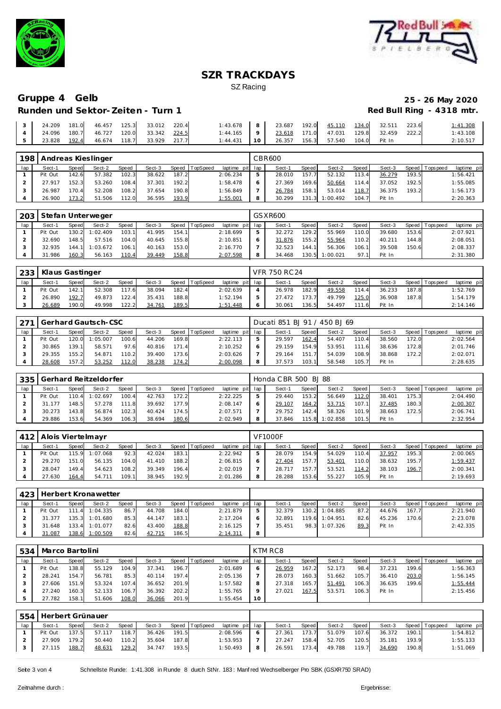



# Gruppe 4 Gelb<br>
Runden und Sektor-Zeiten - Turn 1 **25 - 26 May 2020**<br>
Red Bull Ring - 4318 mtr. **Runden und Sektor-Zeiten - Turn 1**

|  |                                                    |  |  | 1:43.678 8 23.687 192.0 $45.110$ $134.0$ 32.511 223.6     |  |  |  | 1:41.308 |
|--|----------------------------------------------------|--|--|-----------------------------------------------------------|--|--|--|----------|
|  | $\vert$ 4   24.096 180.7 46.727 120.0 33.342 224.5 |  |  | $1:44.165$   9   $23.618$ 171.0 47.031 129.8 32.459 222.2 |  |  |  | 1:43.108 |
|  |                                                    |  |  | 1:44.431   10   26.357 156.3    57.540 104.0    Pit In    |  |  |  | 2:10.517 |

| 198 |         |       | Andreas Kieslinger |       |        |       |          |                 |   | CBR600 |       |          |       |        |       |                 |             |
|-----|---------|-------|--------------------|-------|--------|-------|----------|-----------------|---|--------|-------|----------|-------|--------|-------|-----------------|-------------|
| lap | Sect-1  | Speed | Sect-2             | Speed | Sect-3 | Speed | TopSpeed | laptime pit lap |   | Sect-1 | Speed | Sect-2   | Speed | Sect-3 |       | Speed Tops peed | laptime pit |
|     | Pit Out | 142.6 | 57.382             | 102.3 | 38.622 | 187.2 |          | 2:06.234        |   | 28.010 | 157.7 | 52.132   | 113.4 | 36.279 | 193.5 |                 | 1:56.421    |
|     | 27.917  | 152.3 | 53.260             | 108.4 | 37.301 | 192.2 |          | 1:58.478        |   | 27.369 | 169.6 | 50.664   | 114.4 | 37.052 | 192.5 |                 | 1:55.085    |
|     | 26.987  | 170.4 | 52.208             | 108.2 | 37.654 | 190.8 |          | 1:56.849        |   | 26.784 | 158.1 | 53.014   | 118.7 | 36.375 | 193.2 |                 | 1:56.173    |
|     | 26.900  | 173.2 | 51.506             | 112.0 | 36.595 | 193.9 |          | 1:55.001        | 8 | 30.299 | 131.3 | 1:00.492 | 104.7 | Pit In |       |                 | 2:20.363    |

| 203 |        | Stefan Unterweger<br>Speed<br>TopSpeed<br>Sect-2<br>Sect-3<br>Speed<br>Speed<br>Sect-1<br>103.1<br>130.2<br>Pit Out<br>1:02.409<br>41.995<br>154.1<br>32.690<br>148.5<br>57.516<br>104.0<br>155.8<br>40.645 |          |       |        |       |  |          |         | GSXR600 |       |          |       |        |       |                 |             |
|-----|--------|-------------------------------------------------------------------------------------------------------------------------------------------------------------------------------------------------------------|----------|-------|--------|-------|--|----------|---------|---------|-------|----------|-------|--------|-------|-----------------|-------------|
| lap |        |                                                                                                                                                                                                             |          |       |        |       |  | laptime  | pit lap | Sect-1  | Speed | Sect-2   | Speed | Sect-3 |       | Speed Tops peed | laptime pit |
|     |        |                                                                                                                                                                                                             |          |       |        |       |  | 2:18.699 |         | 32.272  | 129.2 | 55.969   | 110.0 | 39.680 | 153.6 |                 | 2:07.921    |
|     |        |                                                                                                                                                                                                             |          |       |        |       |  | 2:10.851 |         | 31.876  | 155.2 | 55.964   | 110.2 | 40.211 | 144.8 |                 | 2:08.051    |
|     | 32.935 | 144.1                                                                                                                                                                                                       | : 03.672 | 106.1 | 40.163 | 153.0 |  | 2:16.770 |         | 32.523  | 144.1 | 56.306   | 106.1 | 39.508 | 150.6 |                 | 2:08.337    |
|     | 31.986 | 160.3                                                                                                                                                                                                       | 56.163   | 110.4 | 39.449 | 158.8 |  | 2:07.598 |         | 34.468  | 130.5 | 1:00.021 | 97.1  | Pit In |       |                 | 2:31.380    |

| 233 | Klaus Gastinger |       |        |       |        |       |                |                 |   | VFR 750 RC 24 |       |        |       |        |       |                   |             |
|-----|-----------------|-------|--------|-------|--------|-------|----------------|-----------------|---|---------------|-------|--------|-------|--------|-------|-------------------|-------------|
| lap | Sect-1          | Speed | Sect-2 | Speed | Sect-3 |       | Speed TopSpeed | laptime pit lap |   | Sect-1        | Speed | Sect-2 | Speed | Sect-3 |       | Speed   Tops peed | laptime pit |
|     | Pit Out         | 142.1 | 52.308 | 117.6 | 38.094 | 182.4 |                | 2:02.639        |   | 26.978        | 182.9 | 49.558 | 114.4 | 36.233 | 187.8 |                   | 1:52.769    |
|     | 26.890          | 192.7 | 49.873 | 122.4 | 35.431 | 188.8 |                | 1:52.194        | 5 | 27.472        | 173.7 | 49.799 | 125.0 | 36.908 | 187.8 |                   | 1:54.179    |
|     | 26.689          | 190.0 | 49.998 | 122.2 | 34.761 | 189.5 |                | 1:51.448        | 6 | 30.061        | 136.5 | 54.497 | 11.6  | Pit In |       |                   | 2:14.146    |

| 271 |         |       | Gerhard Gautsch-CSC |       |        |       |                |                 |   | Ducati 851 BJ 91 / 450 BJ 69 |       |        |       |        |       |                |             |
|-----|---------|-------|---------------------|-------|--------|-------|----------------|-----------------|---|------------------------------|-------|--------|-------|--------|-------|----------------|-------------|
| lap | Sect-1  | Speed | Sect-2              | Speed | Sect-3 |       | Speed TopSpeed | laptime pit lap |   | Sect-1                       | Speed | Sect-2 | Speed | Sect-3 |       | Speed Topspeed | laptime pit |
|     | Pit Out |       | 120.0 1:05.007      | 100.6 | 44.206 | 169.8 |                | 2:22.113        |   | 29.597                       | 162.4 | 54.407 | 110.4 | 38.560 | 172.0 |                | 2:02.564    |
|     | 30.865  | 139.1 | 58.571              | 97.6  | 40.816 | 171.4 |                | 2:10.252        | 6 | 29.159                       | 154.9 | 53.951 | 1116  | 38.636 | 172.8 |                | 2:01.746    |
|     | 29.355  | 155.2 | 54.871              | 110.2 | 39.400 | 173.6 |                | 2:03.626        |   | 29.164                       | 151   | 54.039 | 108.9 | 38.868 | 172.2 |                | 2:02.071    |
|     | 28.608  | 157.2 | 53.252              | 112.0 | 38.238 | 174.2 |                | 2:00.098        | 8 | 37.573                       | 103.1 | 58.548 | 105.7 | Pit In |       |                | 2:28.635    |

| 335 |         |       | Gerhard Reitzeldorfer |              |        |         |          |                 | Honda CBR 500 BJ 88 |       |                |       |        |       |          |             |
|-----|---------|-------|-----------------------|--------------|--------|---------|----------|-----------------|---------------------|-------|----------------|-------|--------|-------|----------|-------------|
| lap | Sect-1  | Speed | Sect-2                | <b>Speed</b> | Sect-3 | Speed I | TopSpeed | laptime pit lap | Sect-1              | Speed | Sect-2         | Speed | Sect-3 | Speed | Topspeed | laptime pit |
|     | Pit Out | 110.4 | 1:02.697              | 100.4        | 42.763 | 172.2   |          | 2:22.225        | 29.440              | 153.2 | 56.649         | 112.0 | 38.401 | 175.3 |          | 2:04.490    |
|     | 31.177  | 148.5 | 57.278                | 111.8        | 39.692 | 177.9   |          | 2:08.147        | 29.107              | 164.2 | 53.715         | 107.1 | 37.485 | 180.3 |          | 2:00.307    |
|     | 30.273  | 143.8 | 56.874                | 102.3        | 40.424 | 174.5   |          | 2:07.571        | 29.752              | 142.4 | 58.326         | 101.9 | 38.663 | 172.5 |          | 2:06.741    |
|     | 29.886  | 153.6 | 54.369                | 106.3        | 38.694 | 180.6   |          | 2:02.949        | 37.846              |       | 115.8 1:02.858 | 101.5 | Pit In |       |          | 2:32.954    |

| 412 | Alois Viertelmayr |       |          |       |        |       |                 |                 | <b>VF1000F</b> |       |        |       |        |       |                 |             |
|-----|-------------------|-------|----------|-------|--------|-------|-----------------|-----------------|----------------|-------|--------|-------|--------|-------|-----------------|-------------|
| lap | Sect-1            | Speed | Sect-2   | Speed | Sect-3 | Speed | <b>TopSpeed</b> | laptime pit lap | Sect-1         | Speed | Sect-2 | Speed | Sect-3 |       | Speed Tops peed | laptime pit |
|     | Pit Out           | 115.9 | 1:07.068 | 92.3  | 42.024 | 183.1 |                 | 2:22.942        | 28.079         | 154.9 | 54.029 | 110.4 | 37.957 | 195.3 |                 | 2:00.065    |
|     | 29.270            | 151.0 | 56.135   | 104.0 | 41.410 | 188.2 |                 | 2:06.815        | 27.404         | 157.7 | 53.401 | 110.0 | 38.632 | 195.7 |                 | 1:59.437    |
|     | 28.047            | 149.4 | 54.623   | 108.2 | 39.349 | 196.4 |                 | 2:02.019        | 28.717         | 157.7 | 53.521 | 114.2 | 38.103 | 196.7 |                 | 2:00.341    |
|     | 27.630            | 164.4 | 54.711   | 109.1 | 38.945 | 192.9 |                 | 2:01.286        | 28.288         | 153.6 | 55.227 | 105.9 | Pit In |       |                 | 2:19.693    |

|     | 423   Herbert Kronawetter |       |          |       |        |       |                  |                 |   |        |       |                |       |        |       |                 |             |
|-----|---------------------------|-------|----------|-------|--------|-------|------------------|-----------------|---|--------|-------|----------------|-------|--------|-------|-----------------|-------------|
| lap | Sect-1                    | Speed | Sect-2   | Speed | Sect-3 |       | Speed   TopSpeed | laptime pit lap |   | Sect-1 | Speed | Sect-2         | Speed | Sect-3 |       | Speed Tops peed | laptime pit |
|     | Pit Out                   | 111.4 | 1:04.335 | 86.7  | 44.708 | 184.0 |                  | 2:21.879        | 5 | 32.379 |       | 130.2 1:04.885 | 87.2  | 44.676 | 167.7 |                 | 2:21.940    |
|     | 31.377                    | 135.3 | 1:01.680 | 85.3  | 44.147 | 183.1 |                  | 2:17.204        | 6 | 32.891 |       | 119.6 1:04.951 | 82.6  | 45.236 | 170.6 |                 | 2:23.078    |
|     | 31.648                    | 133.4 | 1:01.077 | 82.6  | 43.400 | 188.8 |                  | 2:16.125        |   | 35.451 |       | 98.3 1:07.326  | 89.3  | Pit In |       |                 | 2:42.335    |
|     | 31.087                    | 138.6 | 1:00.509 | 82.6  | 42.715 | 186.5 |                  | 2:14.311        | 8 |        |       |                |       |        |       |                 |             |

| 534 | Marco Bartolini |              |        |       |        |       |          |             |     | KTM RC8 |       |        |       |        |       |                |             |
|-----|-----------------|--------------|--------|-------|--------|-------|----------|-------------|-----|---------|-------|--------|-------|--------|-------|----------------|-------------|
| lap | Sect-1          | <b>Speed</b> | Sect-2 | Speed | Sect-3 | Speed | TopSpeed | laptime pit | lap | Sect-1  | Speed | Sect-2 | Speed | Sect-3 |       | Speed Topspeed | laptime pit |
|     | Pit Out         | 138.8        | 55.129 | 104.9 | 37.341 | 196.7 |          | 2:01.689    | 6   | 26.959  | 167.2 | 52.173 | 98.4  | 37.231 | 199.6 |                | 1:56.363    |
|     | 28.241          | 154.7        | 56.781 | 85.3  | 40.114 | 197.4 |          | 2:05.136    |     | 28.073  | 160.3 | 51.662 | 105.7 | 36.410 | 203.0 |                | 1:56.145    |
|     | 27.606          | 151.9        | 53.324 | 107.4 | 36.652 | 201.9 |          | 1:57.582    | 8   | 27.318  | 165.7 | 51.491 | 106.3 | 36.635 | 199.6 |                | 1:55.444    |
|     | 27.240          | 160.3        | 52.133 | 106.7 | 36.392 | 202.2 |          | 1:55.765    | Q   | 27.021  | 167.5 | 53.571 | 106.3 | Pit In |       |                | 2:15.456    |
|     | 27.782          | 158.1        | 51.606 | 108.0 | 36.066 | 201.9 |          | 1:55.454    | 10  |         |       |        |       |        |       |                |             |

| 554 | Herbert Grünauer |       |        |       |        |       |                |                 |   |        |       |        |       |        |       |                |             |
|-----|------------------|-------|--------|-------|--------|-------|----------------|-----------------|---|--------|-------|--------|-------|--------|-------|----------------|-------------|
| lap | Sect-1           | Speed | Sect-2 | Speed | Sect-3 |       | Speed TopSpeed | laptime pit lap |   | Sect-1 | Speed | Sect-2 | Speed | Sect-3 |       | Speed Topspeed | laptime pit |
|     | Pit Out          | 137.5 | 57.117 | 118.7 | 36.426 | 191.5 |                | 2:08.596        | 6 | 27.361 | 173.7 | 51.079 | 107.6 | 36.372 | 190.1 |                | 1:54.812    |
|     | 27.909           | 179.2 | 50.440 | 110.2 | 35.604 | 187.8 |                | 1:53.953        |   | 27.247 | 158.4 | 52.705 | 120.5 | 35.181 | 193.9 |                | 1:55.133    |
|     | 27.115           | 188.7 | 48.631 | 129.2 | 34.747 | 193.5 |                | 1:50.493        | 8 | 26.591 | 173.4 | 49.788 | 119.7 | 34.690 | 190.8 |                | 1:51.069    |

Seite 3 von 4 Schnellste Runde: 1:41.308 in Runde 8 durch StNr. 183: Manf red Wechselberger Pro SBK (GSXR750 SRAD)